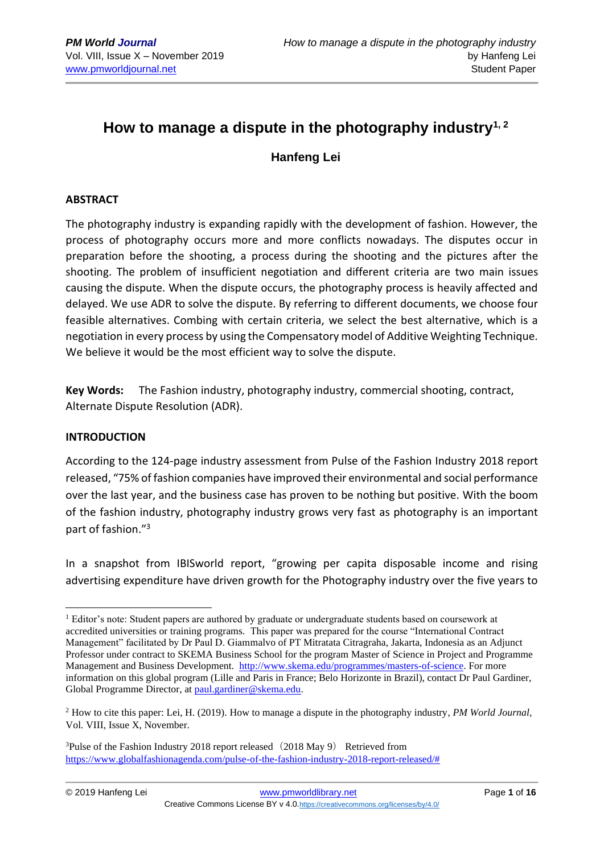# **How to manage a dispute in the photography industry1, 2**

**Hanfeng Lei**

#### **ABSTRACT**

The photography industry is expanding rapidly with the development of fashion. However, the process of photography occurs more and more conflicts nowadays. The disputes occur in preparation before the shooting, a process during the shooting and the pictures after the shooting. The problem of insufficient negotiation and different criteria are two main issues causing the dispute. When the dispute occurs, the photography process is heavily affected and delayed. We use ADR to solve the dispute. By referring to different documents, we choose four feasible alternatives. Combing with certain criteria, we select the best alternative, which is a negotiation in every process by using the Compensatory model of Additive Weighting Technique. We believe it would be the most efficient way to solve the dispute.

**Key Words:** The Fashion industry, photography industry, commercial shooting, contract, Alternate Dispute Resolution (ADR).

#### **INTRODUCTION**

According to the 124-page industry assessment from Pulse of the Fashion Industry 2018 report released, "75% of fashion companies have improved their environmental and social performance over the last year, and the business case has proven to be nothing but positive. With the boom of the fashion industry, photography industry grows very fast as photography is an important part of fashion."<sup>3</sup>

In a snapshot from IBISworld report, "growing per capita disposable income and rising advertising expenditure have driven growth for the Photography industry over the five years to

 $1$  Editor's note: Student papers are authored by graduate or undergraduate students based on coursework at accredited universities or training programs. This paper was prepared for the course "International Contract Management" facilitated by Dr Paul D. Giammalvo of PT Mitratata Citragraha, Jakarta, Indonesia as an Adjunct Professor under contract to SKEMA Business School for the program Master of Science in Project and Programme Management and Business Development. [http://www.skema.edu/programmes/masters-of-science.](http://www.skema.edu/programmes/masters-of-science) For more information on this global program (Lille and Paris in France; Belo Horizonte in Brazil), contact Dr Paul Gardiner, Global Programme Director, a[t paul.gardiner@skema.edu.](mailto:paul.gardiner@skema.edu)

<sup>2</sup> How to cite this paper: Lei, H. (2019). How to manage a dispute in the photography industry, *PM World Journal*, Vol. VIII, Issue X, November.

<sup>&</sup>lt;sup>3</sup>Pulse of the Fashion Industry 2018 report released  $(2018$  May 9) Retrieved from [https://www.globalfashionagenda.com/pulse-of-the-fashion-industry-2018-report-released/#](https://www.globalfashionagenda.com/pulse-of-the-fashion-industry-2018-report-released/)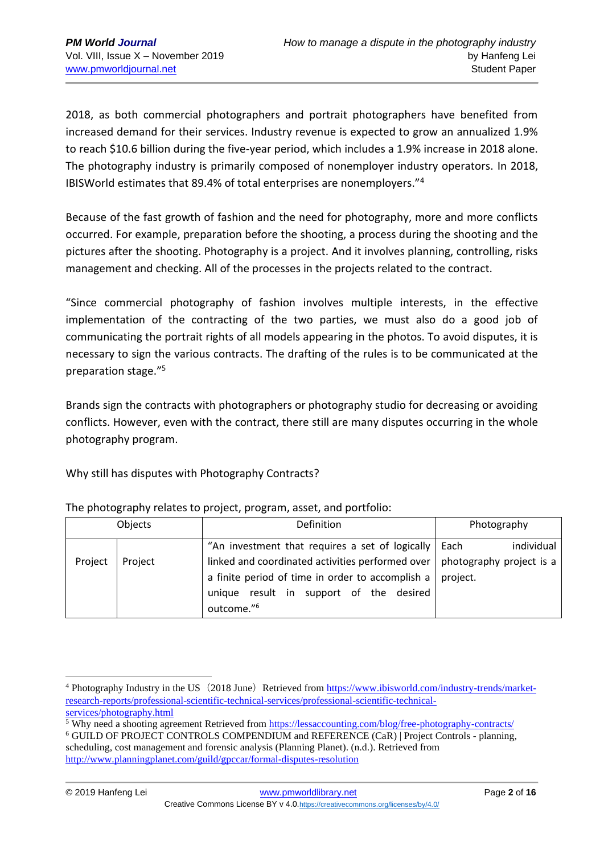2018, as both commercial photographers and portrait photographers have benefited from increased demand for their services. Industry revenue is expected to grow an annualized 1.9% to reach \$10.6 billion during the five-year period, which includes a 1.9% increase in 2018 alone. The photography industry is primarily composed of nonemployer industry operators. In 2018, IBISWorld estimates that 89.4% of total enterprises are nonemployers."<sup>4</sup>

Because of the fast growth of fashion and the need for photography, more and more conflicts occurred. For example, preparation before the shooting, a process during the shooting and the pictures after the shooting. Photography is a project. And it involves planning, controlling, risks management and checking. All of the processes in the projects related to the contract.

"Since commercial photography of fashion involves multiple interests, in the effective implementation of the contracting of the two parties, we must also do a good job of communicating the portrait rights of all models appearing in the photos. To avoid disputes, it is necessary to sign the various contracts. The drafting of the rules is to be communicated at the preparation stage."<sup>5</sup>

Brands sign the contracts with photographers or photography studio for decreasing or avoiding conflicts. However, even with the contract, there still are many disputes occurring in the whole photography program.

Why still has disputes with Photography Contracts?

| Objects |         | Definition                                                                                                                             | Photography        |  |
|---------|---------|----------------------------------------------------------------------------------------------------------------------------------------|--------------------|--|
| Project | Project | "An investment that requires a set of logically  <br>linked and coordinated activities performed over $\vert$ photography project is a | individual<br>Each |  |
|         |         | a finite period of time in order to accomplish a                                                                                       | project.           |  |
|         |         | unique result in support of the desired<br>outcome." <sup>6</sup>                                                                      |                    |  |

## The photography relates to project, program, asset, and portfolio:

<sup>&</sup>lt;sup>4</sup> Photography Industry in the US (2018 June) Retrieved from [https://www.ibisworld.com/industry-trends/market](https://www.ibisworld.com/industry-trends/market-research-reports/professional-scientific-technical-services/professional-scientific-technical-services/photography.html)[research-reports/professional-scientific-technical-services/professional-scientific-technical](https://www.ibisworld.com/industry-trends/market-research-reports/professional-scientific-technical-services/professional-scientific-technical-services/photography.html)[services/photography.html](https://www.ibisworld.com/industry-trends/market-research-reports/professional-scientific-technical-services/professional-scientific-technical-services/photography.html)

<sup>&</sup>lt;sup>5</sup> Why need a shooting agreement Retrieved from <https://lessaccounting.com/blog/free-photography-contracts/>

<sup>6</sup> GUILD OF PROJECT CONTROLS COMPENDIUM and REFERENCE (CaR) | Project Controls - planning, scheduling, cost management and forensic analysis (Planning Planet). (n.d.). Retrieved from <http://www.planningplanet.com/guild/gpccar/formal-disputes-resolution>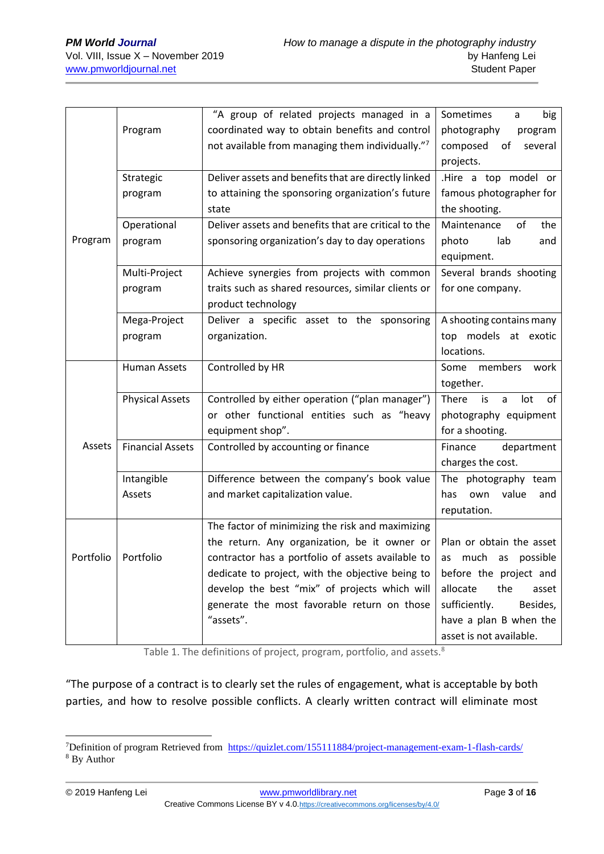|             |                         | "A group of related projects managed in a            | Sometimes<br>big<br>a         |  |  |
|-------------|-------------------------|------------------------------------------------------|-------------------------------|--|--|
|             | Program                 | coordinated way to obtain benefits and control       | photography<br>program        |  |  |
|             |                         | not available from managing them individually."7     | composed of<br>several        |  |  |
|             |                         |                                                      | projects.                     |  |  |
|             | Strategic               | Deliver assets and benefits that are directly linked | .Hire a top model or          |  |  |
|             | program                 | to attaining the sponsoring organization's future    | famous photographer for       |  |  |
|             |                         | state                                                | the shooting.                 |  |  |
|             | Operational             | Deliver assets and benefits that are critical to the | Maintenance<br>0f<br>the      |  |  |
| Program     | program                 | sponsoring organization's day to day operations      | lab<br>photo<br>and           |  |  |
|             |                         |                                                      | equipment.                    |  |  |
|             | Multi-Project           | Achieve synergies from projects with common          | Several brands shooting       |  |  |
|             | program                 | traits such as shared resources, similar clients or  | for one company.              |  |  |
|             |                         | product technology                                   |                               |  |  |
|             | Mega-Project            | Deliver a specific asset to the sponsoring           | A shooting contains many      |  |  |
|             | program                 | organization.                                        | top models at exotic          |  |  |
|             |                         |                                                      | locations.                    |  |  |
|             | Human Assets            | Controlled by HR                                     | members<br>Some<br>work       |  |  |
|             |                         |                                                      | together.                     |  |  |
|             | <b>Physical Assets</b>  | Controlled by either operation ("plan manager")      | There<br>is<br>lot<br>of<br>a |  |  |
|             |                         | or other functional entities such as "heavy          | photography equipment         |  |  |
|             |                         | equipment shop".                                     | for a shooting.               |  |  |
| Assets      | <b>Financial Assets</b> | Controlled by accounting or finance                  | Finance<br>department         |  |  |
|             |                         |                                                      | charges the cost.             |  |  |
|             | Intangible              | Difference between the company's book value          | The photography team          |  |  |
|             | Assets                  | and market capitalization value.                     | value<br>has<br>own<br>and    |  |  |
|             |                         |                                                      | reputation.                   |  |  |
|             |                         | The factor of minimizing the risk and maximizing     |                               |  |  |
|             |                         | the return. Any organization, be it owner or         | Plan or obtain the asset      |  |  |
| Portfolio I | Portfolio               | contractor has a portfolio of assets available to    | as much as possible           |  |  |
|             |                         | dedicate to project, with the objective being to     | before the project and        |  |  |
|             |                         | develop the best "mix" of projects which will        | allocate<br>the<br>asset      |  |  |
|             |                         | generate the most favorable return on those          | sufficiently.<br>Besides,     |  |  |
|             |                         | "assets".                                            | have a plan B when the        |  |  |
|             |                         |                                                      | asset is not available.       |  |  |

Table 1. The definitions of project, program, portfolio, and assets.<sup>8</sup>

"The purpose of a contract is to clearly set the rules of engagement, what is acceptable by both parties, and how to resolve possible conflicts. A clearly written contract will eliminate most

<sup>&</sup>lt;sup>7</sup>Definition of program Retrieved from<https://quizlet.com/155111884/project-management-exam-1-flash-cards/> <sup>8</sup> By Author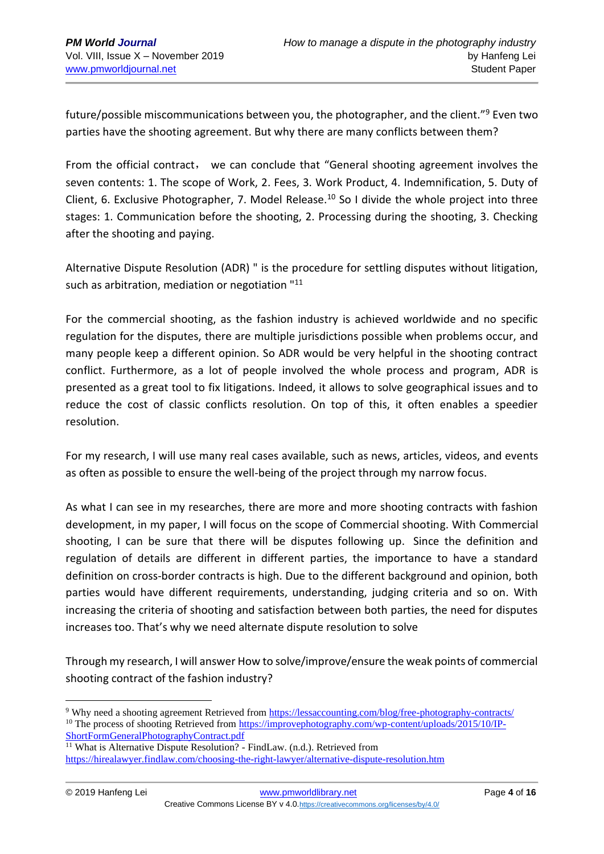future/possible miscommunications between you, the photographer, and the client."<sup>9</sup> Even two parties have the shooting agreement. But why there are many conflicts between them?

From the official contract, we can conclude that "General shooting agreement involves the seven contents: 1. The scope of Work, 2. Fees, 3. Work Product, 4. Indemnification, 5. Duty of Client, 6. Exclusive Photographer, 7. Model Release.<sup>10</sup> So I divide the whole project into three stages: 1. Communication before the shooting, 2. Processing during the shooting, 3. Checking after the shooting and paying.

Alternative Dispute Resolution (ADR) " is the procedure for settling disputes without litigation, such as arbitration, mediation or negotiation "<sup>11</sup>

For the commercial shooting, as the fashion industry is achieved worldwide and no specific regulation for the disputes, there are multiple jurisdictions possible when problems occur, and many people keep a different opinion. So ADR would be very helpful in the shooting contract conflict. Furthermore, as a lot of people involved the whole process and program, ADR is presented as a great tool to fix litigations. Indeed, it allows to solve geographical issues and to reduce the cost of classic conflicts resolution. On top of this, it often enables a speedier resolution.

For my research, I will use many real cases available, such as news, articles, videos, and events as often as possible to ensure the well-being of the project through my narrow focus.

As what I can see in my researches, there are more and more shooting contracts with fashion development, in my paper, I will focus on the scope of Commercial shooting. With Commercial shooting, I can be sure that there will be disputes following up. Since the definition and regulation of details are different in different parties, the importance to have a standard definition on cross-border contracts is high. Due to the different background and opinion, both parties would have different requirements, understanding, judging criteria and so on. With increasing the criteria of shooting and satisfaction between both parties, the need for disputes increases too. That's why we need alternate dispute resolution to solve

Through my research, I will answer How to solve/improve/ensure the weak points of commercial shooting contract of the fashion industry?

<sup>9</sup> Why need a shooting agreement Retrieved from <https://lessaccounting.com/blog/free-photography-contracts/> <sup>10</sup> The process of shooting Retrieved from https://improvephotography.com/wp-content/uploads/2015/10/IP-ShortFormGeneralPhotographyContract.pdf

<sup>&</sup>lt;sup>11</sup> What is Alternative Dispute Resolution? - FindLaw. (n.d.). Retrieved from <https://hirealawyer.findlaw.com/choosing-the-right-lawyer/alternative-dispute-resolution.htm>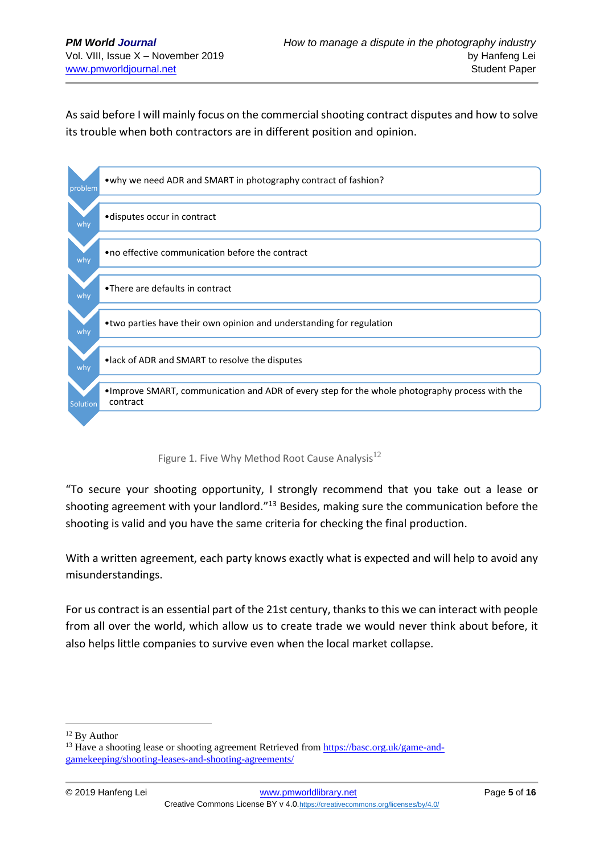As said before I will mainly focus on the commercial shooting contract disputes and how to solve its trouble when both contractors are in different position and opinion.



Figure 1. Five Why Method Root Cause Analysis<sup>12</sup>

"To secure your shooting opportunity, I strongly recommend that you take out a lease or shooting agreement with your landlord."<sup>13</sup> Besides, making sure the communication before the shooting is valid and you have the same criteria for checking the final production.

With a written agreement, each party knows exactly what is expected and will help to avoid any misunderstandings.

For us contract is an essential part of the 21st century, thanks to this we can interact with people from all over the world, which allow us to create trade we would never think about before, it also helps little companies to survive even when the local market collapse.

<sup>&</sup>lt;sup>12</sup> By Author

<sup>&</sup>lt;sup>13</sup> Have a shooting lease or shooting agreement Retrieved from [https://basc.org.uk/game-and](https://basc.org.uk/game-and-gamekeeping/shooting-leases-and-shooting-agreements/)[gamekeeping/shooting-leases-and-shooting-agreements/](https://basc.org.uk/game-and-gamekeeping/shooting-leases-and-shooting-agreements/)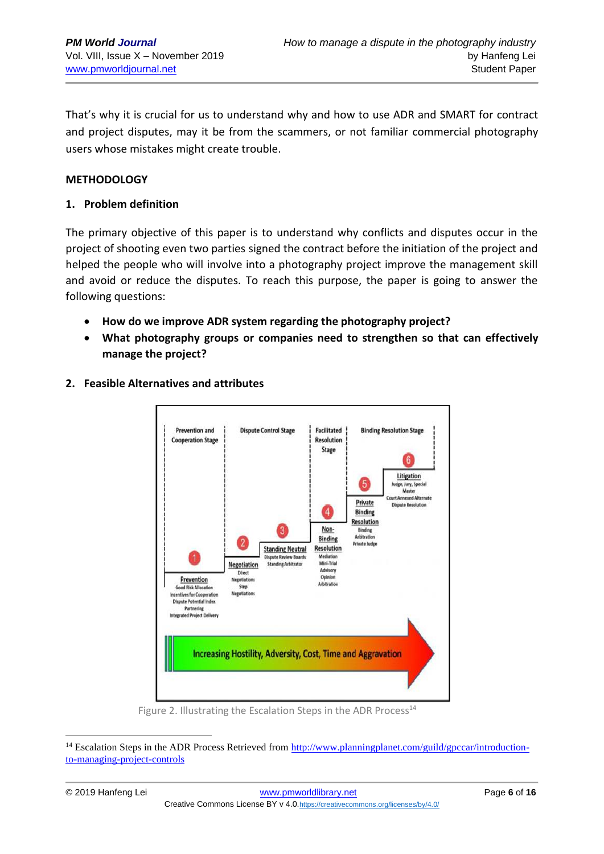That's why it is crucial for us to understand why and how to use ADR and SMART for contract and project disputes, may it be from the scammers, or not familiar commercial photography users whose mistakes might create trouble.

#### **METHODOLOGY**

#### **1. Problem definition**

The primary objective of this paper is to understand why conflicts and disputes occur in the project of shooting even two parties signed the contract before the initiation of the project and helped the people who will involve into a photography project improve the management skill and avoid or reduce the disputes. To reach this purpose, the paper is going to answer the following questions:

- **How do we improve ADR system regarding the photography project?**
- **What photography groups or companies need to strengthen so that can effectively manage the project?**
- **2. Feasible Alternatives and attributes**



Figure 2. Illustrating the Escalation Steps in the ADR Process<sup>14</sup>

<sup>&</sup>lt;sup>14</sup> Escalation Steps in the ADR Process Retrieved from [http://www.planningplanet.com/guild/gpccar/introduction](http://www.planningplanet.com/guild/gpccar/introduction-to-managing-project-controls)[to-managing-project-controls](http://www.planningplanet.com/guild/gpccar/introduction-to-managing-project-controls)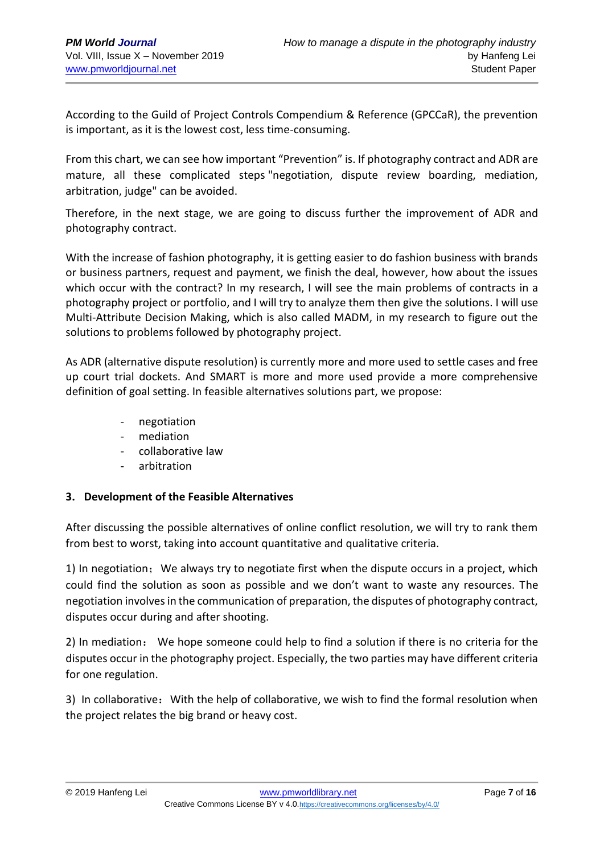According to the Guild of Project Controls Compendium & Reference (GPCCaR), the prevention is important, as it is the lowest cost, less time-consuming.

From this chart, we can see how important "Prevention" is. If photography contract and ADR are mature, all these complicated steps "negotiation, dispute review boarding, mediation, arbitration, judge" can be avoided.

Therefore, in the next stage, we are going to discuss further the improvement of ADR and photography contract.

With the increase of fashion photography, it is getting easier to do fashion business with brands or business partners, request and payment, we finish the deal, however, how about the issues which occur with the contract? In my research, I will see the main problems of contracts in a photography project or portfolio, and I will try to analyze them then give the solutions. I will use Multi-Attribute Decision Making, which is also called MADM, in my research to figure out the solutions to problems followed by photography project.

As ADR (alternative dispute resolution) is currently more and more used to settle cases and free up court trial dockets. And SMART is more and more used provide a more comprehensive definition of goal setting. In feasible alternatives solutions part, we propose:

- negotiation
- mediation
- collaborative law
- arbitration

## **3. Development of the Feasible Alternatives**

After discussing the possible alternatives of online conflict resolution, we will try to rank them from best to worst, taking into account quantitative and qualitative criteria.

1) In negotiation;We always try to negotiate first when the dispute occurs in a project, which could find the solution as soon as possible and we don't want to waste any resources. The negotiation involves in the communication of preparation, the disputes of photography contract, disputes occur during and after shooting.

2) In mediation: We hope someone could help to find a solution if there is no criteria for the disputes occur in the photography project. Especially, the two parties may have different criteria for one regulation.

3) In collaborative:With the help of collaborative, we wish to find the formal resolution when the project relates the big brand or heavy cost.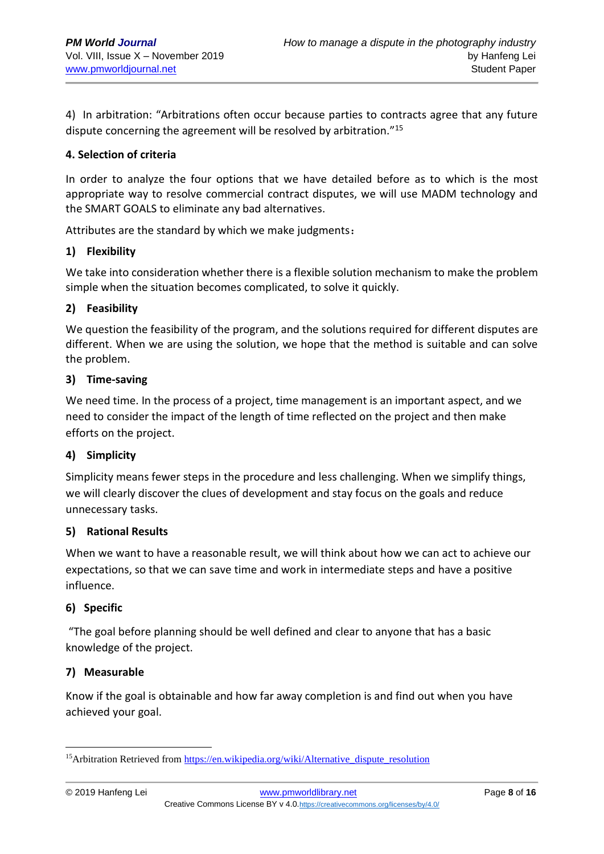4) In arbitration: "Arbitrations often occur because parties to contracts agree that any future dispute concerning the agreement will be resolved by arbitration."<sup>15</sup>

#### **4. Selection of criteria**

In order to analyze the four options that we have detailed before as to which is the most appropriate way to resolve commercial contract disputes, we will use MADM technology and the SMART GOALS to eliminate any bad alternatives.

Attributes are the standard by which we make judgments:

#### **1) Flexibility**

We take into consideration whether there is a flexible solution mechanism to make the problem simple when the situation becomes complicated, to solve it quickly.

#### **2) Feasibility**

We question the feasibility of the program, and the solutions required for different disputes are different. When we are using the solution, we hope that the method is suitable and can solve the problem.

#### **3) Time-saving**

We need time. In the process of a project, time management is an important aspect, and we need to consider the impact of the length of time reflected on the project and then make efforts on the project.

## **4) Simplicity**

Simplicity means fewer steps in the procedure and less challenging. When we simplify things, we will clearly discover the clues of development and stay focus on the goals and reduce unnecessary tasks.

#### **5) Rational Results**

When we want to have a reasonable result, we will think about how we can act to achieve our expectations, so that we can save time and work in intermediate steps and have a positive influence.

#### **6) Specific**

"The goal before planning should be well defined and clear to anyone that has a basic knowledge of the project.

#### **7) Measurable**

Know if the goal is obtainable and how far away completion is and find out when you have achieved your goal.

<sup>&</sup>lt;sup>15</sup>Arbitration Retrieved fro[m https://en.wikipedia.org/wiki/Alternative\\_dispute\\_resolution](https://en.wikipedia.org/wiki/Alternative_dispute_resolution)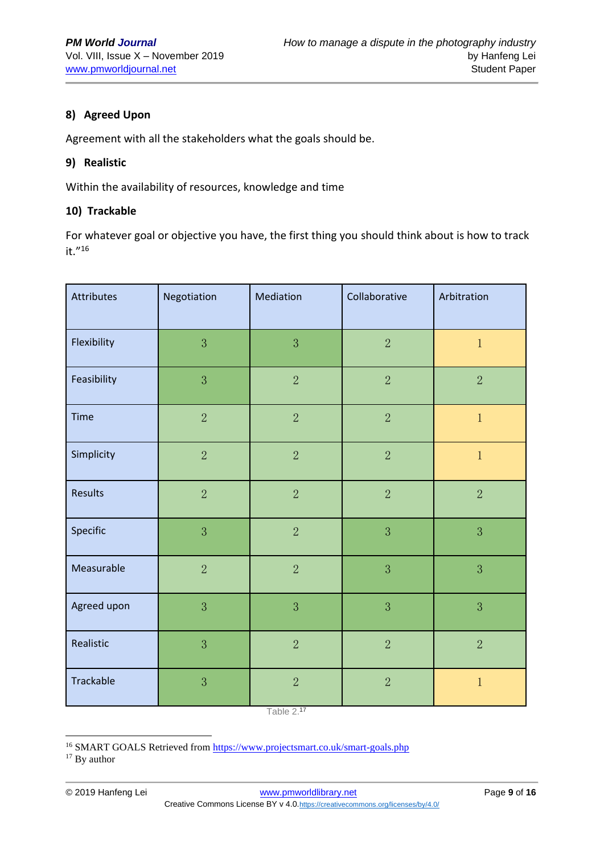## **8) Agreed Upon**

Agreement with all the stakeholders what the goals should be.

#### **9) Realistic**

Within the availability of resources, knowledge and time

#### **10) Trackable**

For whatever goal or objective you have, the first thing you should think about is how to track it."<sup>16</sup>

| <b>Attributes</b> | Negotiation    | Mediation      | Collaborative  | Arbitration    |
|-------------------|----------------|----------------|----------------|----------------|
| Flexibility       | 3              | 3              | $\overline{2}$ | $\,1$          |
| Feasibility       | 3              | $\overline{2}$ | $\overline{2}$ | $\overline{2}$ |
| <b>Time</b>       | $\overline{2}$ | $\overline{2}$ | $\overline{2}$ | $\mathbf 1$    |
| Simplicity        | $\overline{2}$ | $\overline{2}$ | $\overline{2}$ | $\mathbf{1}$   |
| Results           | $\overline{2}$ | $\overline{2}$ | $\overline{2}$ | $\overline{2}$ |
| Specific          | 3              | $\overline{2}$ | $\overline{3}$ | 3              |
| Measurable        | $\overline{2}$ | $\overline{2}$ | 3              | $\overline{3}$ |
| Agreed upon       | 3              | 3              | 3              | 3              |
| Realistic         | 3              | $\overline{2}$ | $\overline{2}$ | $\sqrt{2}$     |
| Trackable         | 3              | $\overline{2}$ | $\overline{2}$ | $\mathbf{1}$   |

Table 2.<sup>17</sup>

<sup>17</sup> By author

<sup>&</sup>lt;sup>16</sup> SMART GOALS Retrieved from<https://www.projectsmart.co.uk/smart-goals.php>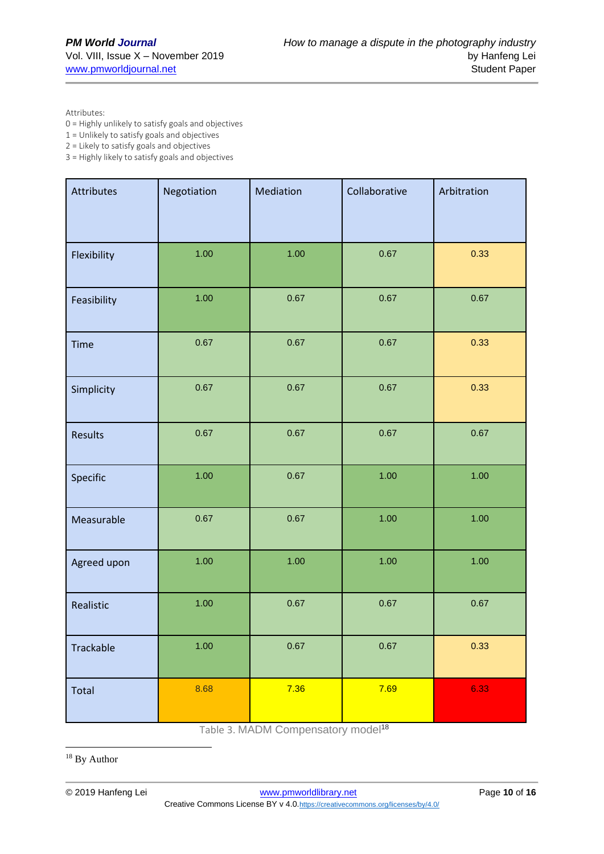Attributes:

0 = Highly unlikely to satisfy goals and objectives

1 = Unlikely to satisfy goals and objectives

2 = Likely to satisfy goals and objectives

3 = Highly likely to satisfy goals and objectives

| Attributes  | Negotiation | Mediation | Collaborative | Arbitration |
|-------------|-------------|-----------|---------------|-------------|
| Flexibility | 1.00        | 1.00      | 0.67          | 0.33        |
| Feasibility | 1.00        | 0.67      | 0.67          | 0.67        |
| <b>Time</b> | 0.67        | 0.67      | 0.67          | 0.33        |
| Simplicity  | 0.67        | 0.67      | 0.67          | 0.33        |
| Results     | 0.67        | 0.67      | 0.67          | 0.67        |
| Specific    | 1.00        | 0.67      | 1.00          | 1.00        |
| Measurable  | 0.67        | 0.67      | 1.00          | 1.00        |
| Agreed upon | 1.00        | 1.00      | 1.00          | 1.00        |
| Realistic   | 1.00        | 0.67      | 0.67          | 0.67        |
| Trackable   | $1.00$      | 0.67      | 0.67          | 0.33        |
| Total       | 8.68        | 7.36      | 7.69          | 6.33        |

Table 3. MADM Compensatory model<sup>18</sup>

<sup>18</sup> By Author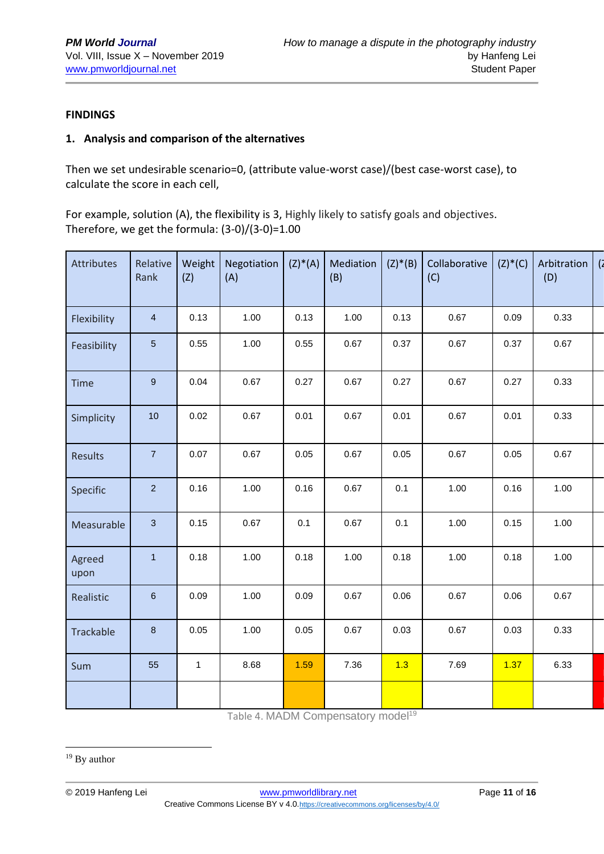#### **FINDINGS**

#### **1. Analysis and comparison of the alternatives**

Then we set undesirable scenario=0, (attribute value-worst case)/(best case-worst case), to calculate the score in each cell,

For example, solution (A), the flexibility is 3, Highly likely to satisfy goals and objectives. Therefore, we get the formula: (3-0)/(3-0)=1.00

| Attributes     | Relative<br>Rank | Weight<br>(Z) | Negotiation<br>(A) | $(Z)^*(A)$ | Mediation<br>(B) | $(Z)^*(B)$ | Collaborative<br>(C) | $(Z)^*(C)$ | Arbitration<br>(D) | $\overline{a}$ |
|----------------|------------------|---------------|--------------------|------------|------------------|------------|----------------------|------------|--------------------|----------------|
| Flexibility    | $\overline{4}$   | 0.13          | 1.00               | 0.13       | 1.00             | 0.13       | 0.67                 | 0.09       | 0.33               |                |
| Feasibility    | $\overline{5}$   | 0.55          | 1.00               | 0.55       | 0.67             | 0.37       | 0.67                 | 0.37       | 0.67               |                |
| Time           | $\boldsymbol{9}$ | 0.04          | 0.67               | 0.27       | 0.67             | 0.27       | 0.67                 | 0.27       | 0.33               |                |
| Simplicity     | 10               | 0.02          | 0.67               | 0.01       | 0.67             | 0.01       | 0.67                 | 0.01       | 0.33               |                |
| Results        | $\overline{7}$   | 0.07          | 0.67               | 0.05       | 0.67             | 0.05       | 0.67                 | 0.05       | 0.67               |                |
| Specific       | $\overline{2}$   | 0.16          | 1.00               | 0.16       | 0.67             | 0.1        | 1.00                 | 0.16       | 1.00               |                |
| Measurable     | $\mathbf{3}$     | 0.15          | 0.67               | 0.1        | 0.67             | 0.1        | 1.00                 | 0.15       | 1.00               |                |
| Agreed<br>upon | $\mathbf{1}$     | 0.18          | 1.00               | 0.18       | 1.00             | 0.18       | 1.00                 | 0.18       | 1.00               |                |
| Realistic      | $\,6\,$          | 0.09          | 1.00               | 0.09       | 0.67             | 0.06       | 0.67                 | 0.06       | 0.67               |                |
| Trackable      | $\bf 8$          | 0.05          | 1.00               | 0.05       | 0.67             | 0.03       | 0.67                 | 0.03       | 0.33               |                |
| Sum            | 55               | $\mathbf{1}$  | 8.68               | 1.59       | 7.36             | 1.3        | 7.69                 | 1.37       | 6.33               |                |
|                |                  |               |                    |            |                  |            |                      |            |                    |                |

Table 4. MADM Compensatory model<sup>19</sup>

<sup>&</sup>lt;sup>19</sup> By author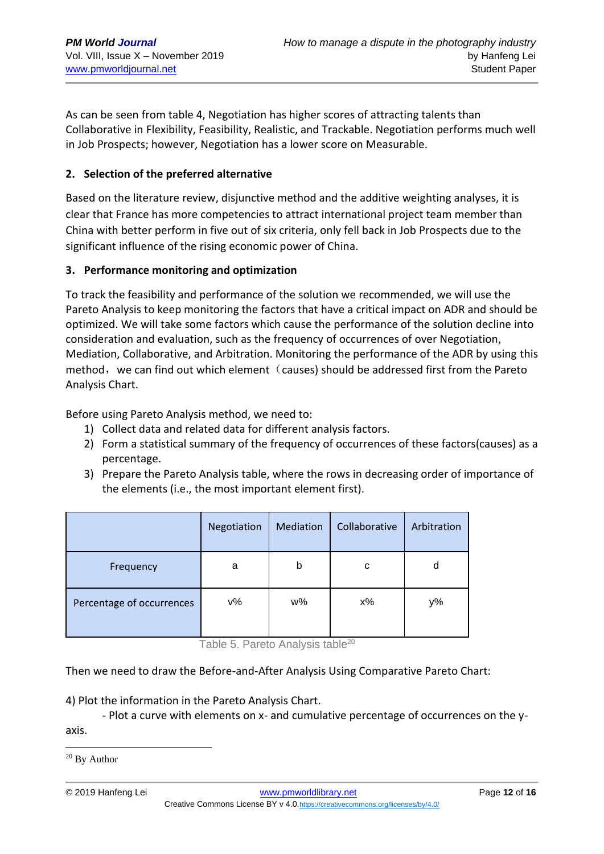As can be seen from table 4, Negotiation has higher scores of attracting talents than Collaborative in Flexibility, Feasibility, Realistic, and Trackable. Negotiation performs much well in Job Prospects; however, Negotiation has a lower score on Measurable.

### **2. Selection of the preferred alternative**

Based on the literature review, disjunctive method and the additive weighting analyses, it is clear that France has more competencies to attract international project team member than China with better perform in five out of six criteria, only fell back in Job Prospects due to the significant influence of the rising economic power of China.

#### **3. Performance monitoring and optimization**

To track the feasibility and performance of the solution we recommended, we will use the Pareto Analysis to keep monitoring the factors that have a critical impact on ADR and should be optimized. We will take some factors which cause the performance of the solution decline into consideration and evaluation, such as the frequency of occurrences of over Negotiation, Mediation, Collaborative, and Arbitration. Monitoring the performance of the ADR by using this method, we can find out which element (causes) should be addressed first from the Pareto Analysis Chart.

Before using Pareto Analysis method, we need to:

- 1) Collect data and related data for different analysis factors.
- 2) Form a statistical summary of the frequency of occurrences of these factors(causes) as a percentage.
- 3) Prepare the Pareto Analysis table, where the rows in decreasing order of importance of the elements (i.e., the most important element first).

|                           | Negotiation | Mediation | Collaborative | Arbitration |
|---------------------------|-------------|-----------|---------------|-------------|
| Frequency                 | a           | b         | с             | d           |
| Percentage of occurrences | ν%          | w%        | $x\%$         | y%          |

Table 5. Pareto Analysis table<sup>20</sup>

Then we need to draw the Before-and-After Analysis Using Comparative Pareto Chart:

4) Plot the information in the Pareto Analysis Chart.

- Plot a curve with elements on x- and cumulative percentage of occurrences on the yaxis.

<sup>20</sup> By Author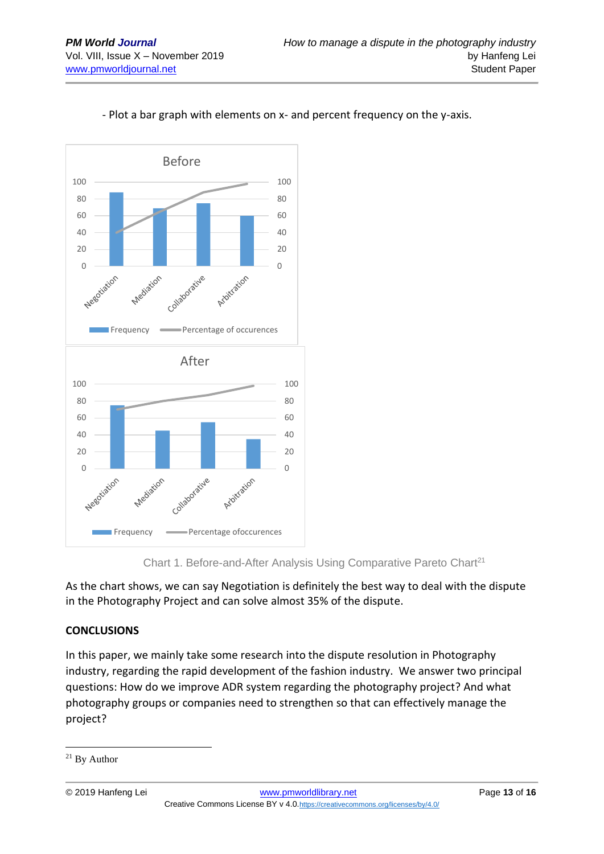

## - Plot a bar graph with elements on x- and percent frequency on the y-axis.



As the chart shows, we can say Negotiation is definitely the best way to deal with the dispute in the Photography Project and can solve almost 35% of the dispute.

## **CONCLUSIONS**

In this paper, we mainly take some research into the dispute resolution in Photography industry, regarding the rapid development of the fashion industry. We answer two principal questions: How do we improve ADR system regarding the photography project? And what photography groups or companies need to strengthen so that can effectively manage the project?

<sup>21</sup> By Author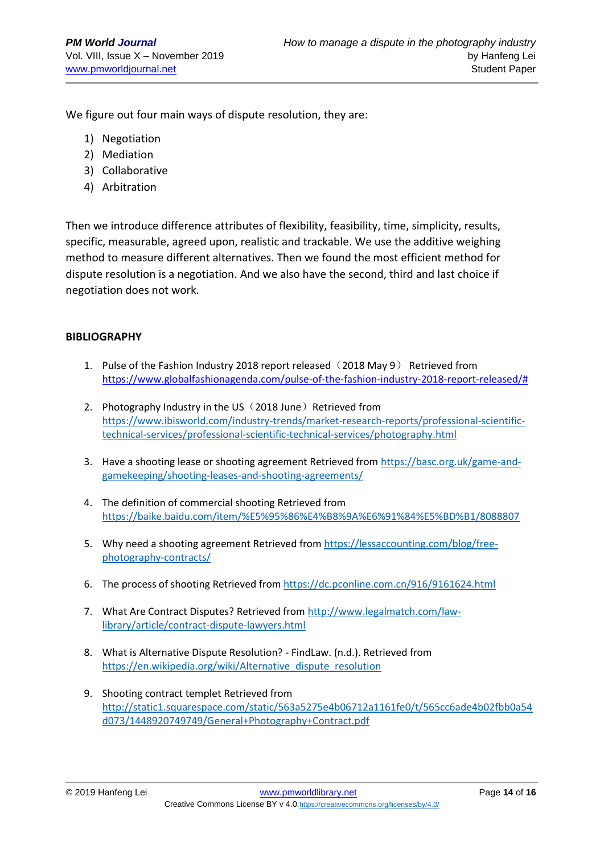We figure out four main ways of dispute resolution, they are:

- 1) Negotiation
- 2) Mediation
- 3) Collaborative
- 4) Arbitration

Then we introduce difference attributes of flexibility, feasibility, time, simplicity, results, specific, measurable, agreed upon, realistic and trackable. We use the additive weighing method to measure different alternatives. Then we found the most efficient method for dispute resolution is a negotiation. And we also have the second, third and last choice if negotiation does not work.

#### **BIBLIOGRAPHY**

- 1. Pulse of the Fashion Industry 2018 report released (2018 May 9) Retrieved from [https://www.globalfashionagenda.com/pulse-of-the-fashion-industry-2018-report-released/#](https://www.globalfashionagenda.com/pulse-of-the-fashion-industry-2018-report-released/)
- 2. Photography Industry in the US (2018 June) Retrieved from [https://www.ibisworld.com/industry-trends/market-research-reports/professional-scientific](https://www.ibisworld.com/industry-trends/market-research-reports/professional-scientific-technical-services/professional-scientific-technical-services/photography.html)[technical-services/professional-scientific-technical-services/photography.html](https://www.ibisworld.com/industry-trends/market-research-reports/professional-scientific-technical-services/professional-scientific-technical-services/photography.html)
- 3. Have a shooting lease or shooting agreement Retrieved from [https://basc.org.uk/game-and](https://basc.org.uk/game-and-gamekeeping/shooting-leases-and-shooting-agreements/)[gamekeeping/shooting-leases-and-shooting-agreements/](https://basc.org.uk/game-and-gamekeeping/shooting-leases-and-shooting-agreements/)
- 4. The definition of commercial shooting Retrieved from <https://baike.baidu.com/item/%E5%95%86%E4%B8%9A%E6%91%84%E5%BD%B1/8088807>
- 5. Why need a shooting agreement Retrieved from [https://lessaccounting.com/blog/free](https://lessaccounting.com/blog/free-photography-contracts/)[photography-contracts/](https://lessaccounting.com/blog/free-photography-contracts/)
- 6. The process of shooting Retrieved from <https://dc.pconline.com.cn/916/9161624.html>
- 7. What Are Contract Disputes? Retrieved from [http://www.legalmatch.com/law](http://www.legalmatch.com/law-library/article/contract-dispute-lawyers.html)[library/article/contract-dispute-lawyers.html](http://www.legalmatch.com/law-library/article/contract-dispute-lawyers.html)
- 8. What is Alternative Dispute Resolution? FindLaw. (n.d.). Retrieved from https://en.wikipedia.org/wiki/Alternative\_dispute\_resolution
- 9. Shooting contract templet Retrieved from [http://static1.squarespace.com/static/563a5275e4b06712a1161fe0/t/565cc6ade4b02fbb0a54](http://static1.squarespace.com/static/563a5275e4b06712a1161fe0/t/565cc6ade4b02fbb0a54d073/1448920749749/General+Photography+Contract.pdf) [d073/1448920749749/General+Photography+Contract.pdf](http://static1.squarespace.com/static/563a5275e4b06712a1161fe0/t/565cc6ade4b02fbb0a54d073/1448920749749/General+Photography+Contract.pdf)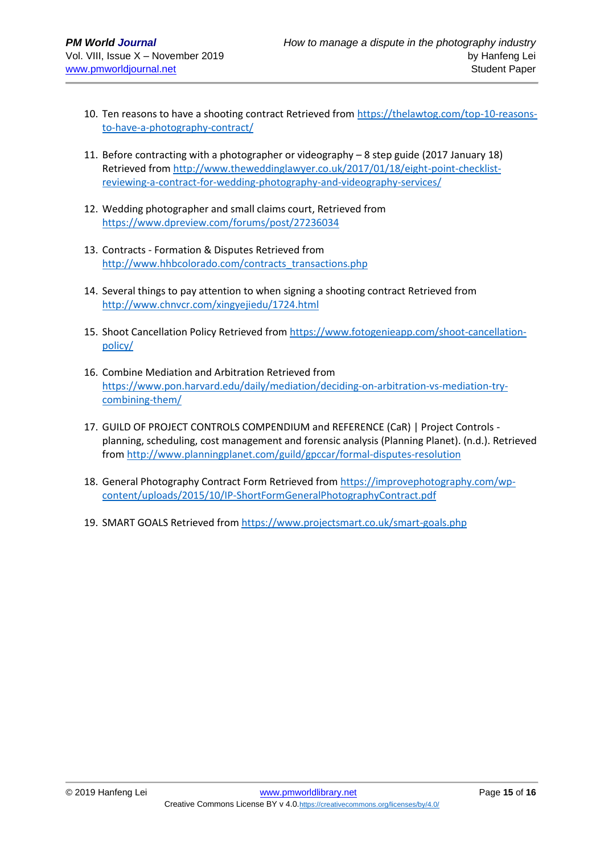- 10. Ten reasons to have a shooting contract Retrieved from [https://thelawtog.com/top-10-reasons](https://thelawtog.com/top-10-reasons-to-have-a-photography-contract/)[to-have-a-photography-contract/](https://thelawtog.com/top-10-reasons-to-have-a-photography-contract/)
- 11. Before contracting with a photographer or videography 8 step guide (2017 January 18) Retrieved from [http://www.theweddinglawyer.co.uk/2017/01/18/eight-point-checklist](http://www.theweddinglawyer.co.uk/2017/01/18/eight-point-checklist-reviewing-a-contract-for-wedding-photography-and-videography-services/)[reviewing-a-contract-for-wedding-photography-and-videography-services/](http://www.theweddinglawyer.co.uk/2017/01/18/eight-point-checklist-reviewing-a-contract-for-wedding-photography-and-videography-services/)
- 12. Wedding photographer and small claims court, Retrieved from <https://www.dpreview.com/forums/post/27236034>
- 13. Contracts Formation & Disputes Retrieved from [http://www.hhbcolorado.com/contracts\\_transactions.php](http://www.hhbcolorado.com/contracts_transactions.php)
- 14. Several things to pay attention to when signing a shooting contract Retrieved from <http://www.chnvcr.com/xingyejiedu/1724.html>
- 15. Shoot Cancellation Policy Retrieved from [https://www.fotogenieapp.com/shoot-cancellation](https://www.fotogenieapp.com/shoot-cancellation-policy/)[policy/](https://www.fotogenieapp.com/shoot-cancellation-policy/)
- 16. Combine Mediation and Arbitration Retrieved from [https://www.pon.harvard.edu/daily/mediation/deciding-on-arbitration-vs-mediation-try](https://www.pon.harvard.edu/daily/mediation/deciding-on-arbitration-vs-mediation-try-combining-them/)[combining-them/](https://www.pon.harvard.edu/daily/mediation/deciding-on-arbitration-vs-mediation-try-combining-them/)
- 17. GUILD OF PROJECT CONTROLS COMPENDIUM and REFERENCE (CaR) | Project Controls planning, scheduling, cost management and forensic analysis (Planning Planet). (n.d.). Retrieved from<http://www.planningplanet.com/guild/gpccar/formal-disputes-resolution>
- 18. General Photography Contract Form Retrieved from [https://improvephotography.com/wp](https://improvephotography.com/wp-content/uploads/2015/10/IP-ShortFormGeneralPhotographyContract.pdf)[content/uploads/2015/10/IP-ShortFormGeneralPhotographyContract.pdf](https://improvephotography.com/wp-content/uploads/2015/10/IP-ShortFormGeneralPhotographyContract.pdf)
- 19. SMART GOALS Retrieved from<https://www.projectsmart.co.uk/smart-goals.php>